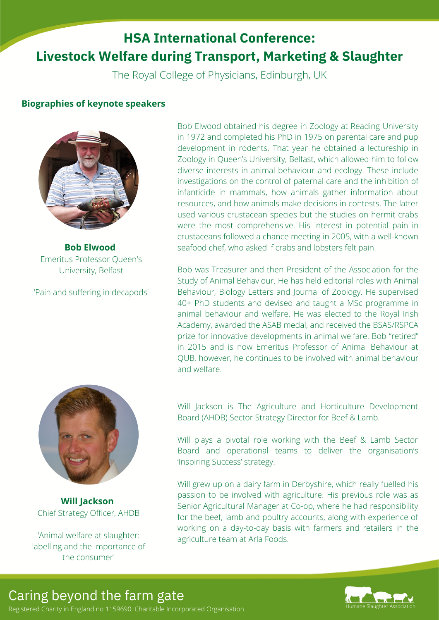# **HSA International Conference: Livestock Welfare during Transport, Marketing & Slaughter**

The Royal College of Physicians, Edinburgh, UK

## **Biographies of keynote speakers**



**Bob Elwood** Emeritus Professor Queen's University, Belfast

'Pain and suffering in decapods'

**Will Jackson** Chief Strategy Officer, AHDB

'Animal welfare at slaughter: labelling and the importance of the consumer'

Bob Elwood obtained his degree in Zoology at Reading University in 1972 and completed his PhD in 1975 on parental care and pup development in rodents. That year he obtained a lectureship in Zoology in Queen's University, Belfast, which allowed him to follow diverse interests in animal behaviour and ecology. These include investigations on the control of paternal care and the inhibition of infanticide in mammals, how animals gather information about resources, and how animals make decisions in contests. The latter used various crustacean species but the studies on hermit crabs were the most comprehensive. His interest in potential pain in crustaceans followed a chance meeting in 2005, with a well-known seafood chef, who asked if crabs and lobsters felt pain.

Bob was Treasurer and then President of the Association for the Study of Animal Behaviour. He has held editorial roles with Animal Behaviour, Biology Letters and Journal of Zoology. He supervised 40+ PhD students and devised and taught a MSc programme in animal behaviour and welfare. He was elected to the Royal Irish Academy, awarded the ASAB medal, and received the BSAS/RSPCA prize for innovative developments in animal welfare. Bob "retired" in 2015 and is now Emeritus Professor of Animal Behaviour at QUB, however, he continues to be involved with animal behaviour and welfare.

Will Jackson is The Agriculture and Horticulture Development Board (AHDB) Sector Strategy Director for Beef & Lamb.

Will plays a pivotal role working with the Beef & Lamb Sector Board and operational teams to deliver the organisation's 'Inspiring Success' strategy.

Will grew up on a dairy farm in Derbyshire, which really fuelled his passion to be involved with agriculture. His previous role was as Senior Agricultural Manager at Co-op, where he had responsibility for the beef, lamb and poultry accounts, along with experience of working on a day-to-day basis with farmers and retailers in the agriculture team at Arla Foods.

Caring beyond the farm gate

Registered Charity in England no 1159690: Charitable Incorporated Organisation